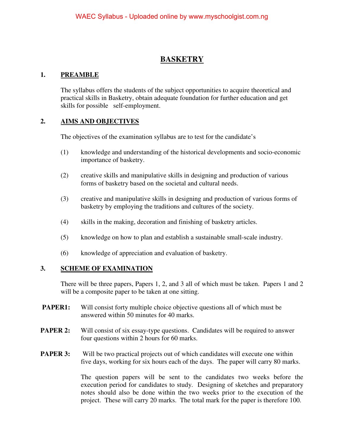# **BASKETRY**

### **1. PREAMBLE**

The syllabus offers the students of the subject opportunities to acquire theoretical and practical skills in Basketry, obtain adequate foundation for further education and get skills for possible self-employment.

## **2. AIMS AND OBJECTIVES**

The objectives of the examination syllabus are to test for the candidate's

- (1) knowledge and understanding of the historical developments and socio-economic importance of basketry.
- (2) creative skills and manipulative skills in designing and production of various forms of basketry based on the societal and cultural needs.
- (3) creative and manipulative skills in designing and production of various forms of basketry by employing the traditions and cultures of the society.
- (4) skills in the making, decoration and finishing of basketry articles.
- (5) knowledge on how to plan and establish a sustainable small-scale industry.
- (6) knowledge of appreciation and evaluation of basketry.

### **3. SCHEME OF EXAMINATION**

There will be three papers, Papers 1, 2, and 3 all of which must be taken. Papers 1 and 2 will be a composite paper to be taken at one sitting.

- **PAPER1:** Will consist forty multiple choice objective questions all of which must be answered within 50 minutes for 40 marks.
- **PAPER 2:** Will consist of six essay-type questions. Candidates will be required to answer four questions within 2 hours for 60 marks.
- **PAPER 3:** Will be two practical projects out of which candidates will execute one within five days, working for six hours each of the days. The paper will carry 80 marks.

 The question papers will be sent to the candidates two weeks before the execution period for candidates to study. Designing of sketches and preparatory notes should also be done within the two weeks prior to the execution of the project. These will carry 20 marks. The total mark for the paper is therefore 100.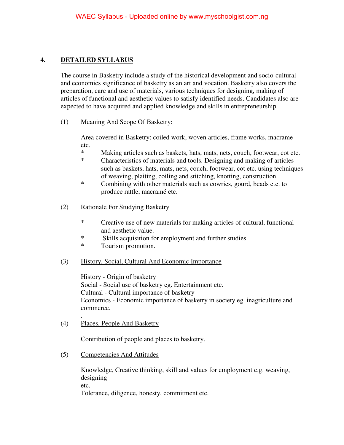## **4. DETAILED SYLLABUS**

The course in Basketry include a study of the historical development and socio-cultural and economics significance of basketry as an art and vocation. Basketry also covers the preparation, care and use of materials, various techniques for designing, making of articles of functional and aesthetic values to satisfy identified needs. Candidates also are expected to have acquired and applied knowledge and skills in entrepreneurship.

(1) Meaning And Scope Of Basketry:

Area covered in Basketry: coiled work, woven articles, frame works, macrame etc.

- Making articles such as baskets, hats, mats, nets, couch, footwear, cot etc.
- \* Characteristics of materials and tools. Designing and making of articles such as baskets, hats, mats, nets, couch, footwear, cot etc. using techniques of weaving, plaiting, coiling and stitching, knotting, construction.
- \* Combining with other materials such as cowries, gourd, beads etc. to produce rattle, macramé etc.
- (2) Rationale For Studying Basketry
	- \* Creative use of new materials for making articles of cultural, functional and aesthetic value.
	- \* Skills acquisition for employment and further studies.
	- \* Tourism promotion.
- (3) History, Social, Cultural And Economic Importance

History - Origin of basketry Social - Social use of basketry eg. Entertainment etc. Cultural - Cultural importance of basketry Economics - Economic importance of basketry in society eg. inagriculture and commerce.

(4) Places, People And Basketry

.

Contribution of people and places to basketry.

(5) Competencies And Attitudes

Knowledge, Creative thinking, skill and values for employment e.g. weaving, designing etc. Tolerance, diligence, honesty, commitment etc.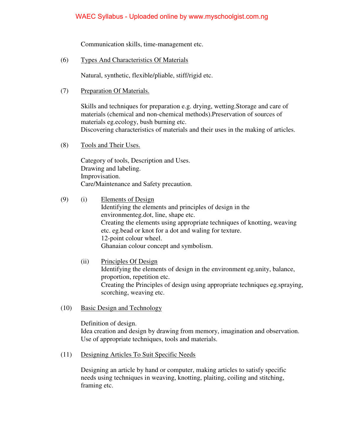Communication skills, time-management etc.

(6) Types And Characteristics Of Materials

Natural, synthetic, flexible/pliable, stiff/rigid etc.

(7) Preparation Of Materials.

Skills and techniques for preparation e.g. drying, wetting.Storage and care of materials (chemical and non-chemical methods).Preservation of sources of materials eg.ecology, bush burning etc. Discovering characteristics of materials and their uses in the making of articles.

(8) Tools and Their Uses.

Category of tools, Description and Uses. Drawing and labeling. Improvisation. Care/Maintenance and Safety precaution.

- (9) (i) Elements of Design Identifying the elements and principles of design in the environmenteg.dot, line, shape etc. Creating the elements using appropriate techniques of knotting, weaving etc. eg.bead or knot for a dot and waling for texture. 12-point colour wheel. Ghanaian colour concept and symbolism.
	- (ii) Principles Of Design Identifying the elements of design in the environment eg.unity, balance, proportion, repetition etc. Creating the Principles of design using appropriate techniques eg.spraying, scorching, weaving etc.
- (10) Basic Design and Technology

Definition of design. Idea creation and design by drawing from memory, imagination and observation. Use of appropriate techniques, tools and materials.

(11) Designing Articles To Suit Specific Needs

Designing an article by hand or computer, making articles to satisfy specific needs using techniques in weaving, knotting, plaiting, coiling and stitching, framing etc.